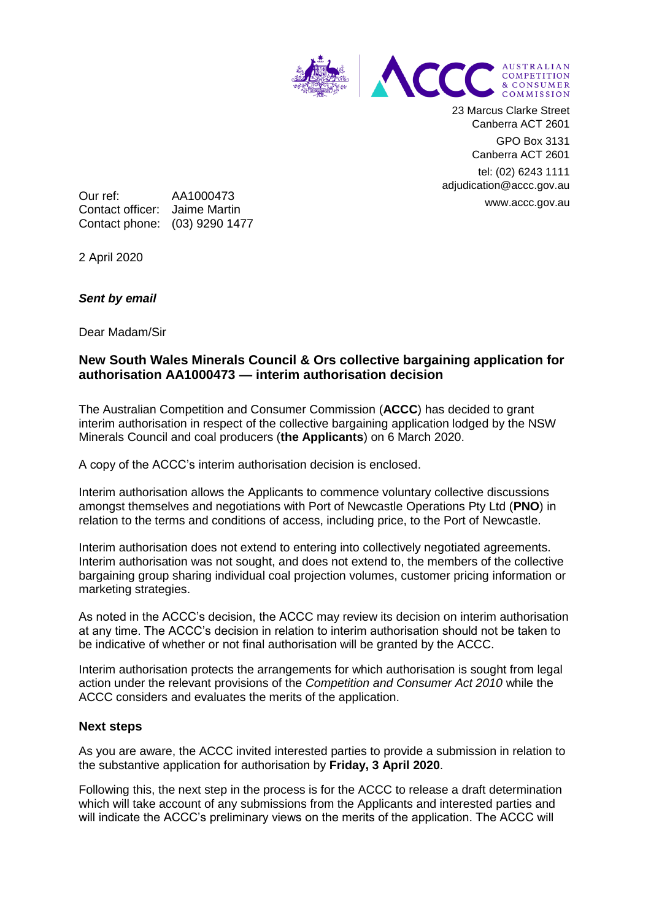

23 Marcus Clarke Street Canberra ACT 2601

> GPO Box 3131 Canberra ACT 2601

tel: (02) 6243 1111 adjudication@accc.gov.au www.accc.gov.au

Our ref: AA1000473 Contact officer: Jaime Martin Contact phone: (03) 9290 1477

2 April 2020

## *Sent by email*

Dear Madam/Sir

## **New South Wales Minerals Council & Ors collective bargaining application for authorisation AA1000473 — interim authorisation decision**

The Australian Competition and Consumer Commission (**ACCC**) has decided to grant interim authorisation in respect of the collective bargaining application lodged by the NSW Minerals Council and coal producers (**the Applicants**) on 6 March 2020.

A copy of the ACCC's interim authorisation decision is enclosed.

Interim authorisation allows the Applicants to commence voluntary collective discussions amongst themselves and negotiations with Port of Newcastle Operations Pty Ltd (**PNO**) in relation to the terms and conditions of access, including price, to the Port of Newcastle.

Interim authorisation does not extend to entering into collectively negotiated agreements. Interim authorisation was not sought, and does not extend to, the members of the collective bargaining group sharing individual coal projection volumes, customer pricing information or marketing strategies.

As noted in the ACCC's decision, the ACCC may review its decision on interim authorisation at any time. The ACCC's decision in relation to interim authorisation should not be taken to be indicative of whether or not final authorisation will be granted by the ACCC.

Interim authorisation protects the arrangements for which authorisation is sought from legal action under the relevant provisions of the *Competition and Consumer Act 2010* while the ACCC considers and evaluates the merits of the application.

## **Next steps**

As you are aware, the ACCC invited interested parties to provide a submission in relation to the substantive application for authorisation by **Friday, 3 April 2020**.

Following this, the next step in the process is for the ACCC to release a draft determination which will take account of any submissions from the Applicants and interested parties and will indicate the ACCC's preliminary views on the merits of the application. The ACCC will